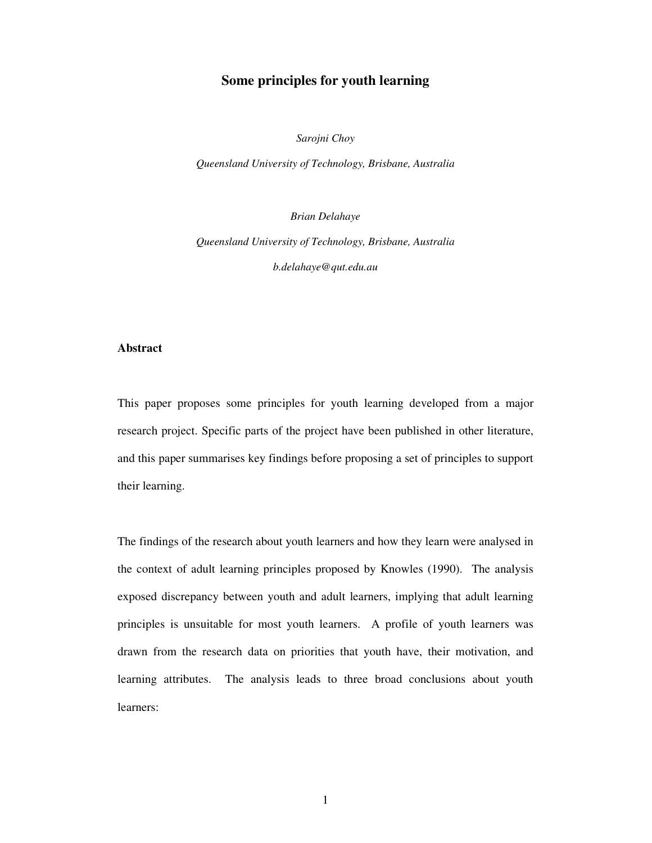# **Some principles for youth learning**

*Sarojni Choy*

*Queensland University of Technology, Brisbane, Australia*

*Brian Delahaye Queensland University of Technology, Brisbane, Australia b.delahaye@qut.edu.au*

#### **Abstract**

This paper proposes some principles for youth learning developed from a major research project. Specific parts of the project have been published in other literature, and this paper summarises key findings before proposing a set of principles to support their learning.

The findings of the research about youth learners and how they learn were analysed in the context of adult learning principles proposed by Knowles (1990). The analysis exposed discrepancy between youth and adult learners, implying that adult learning principles is unsuitable for most youth learners. A profile of youth learners was drawn from the research data on priorities that youth have, their motivation, and learning attributes. The analysis leads to three broad conclusions about youth learners: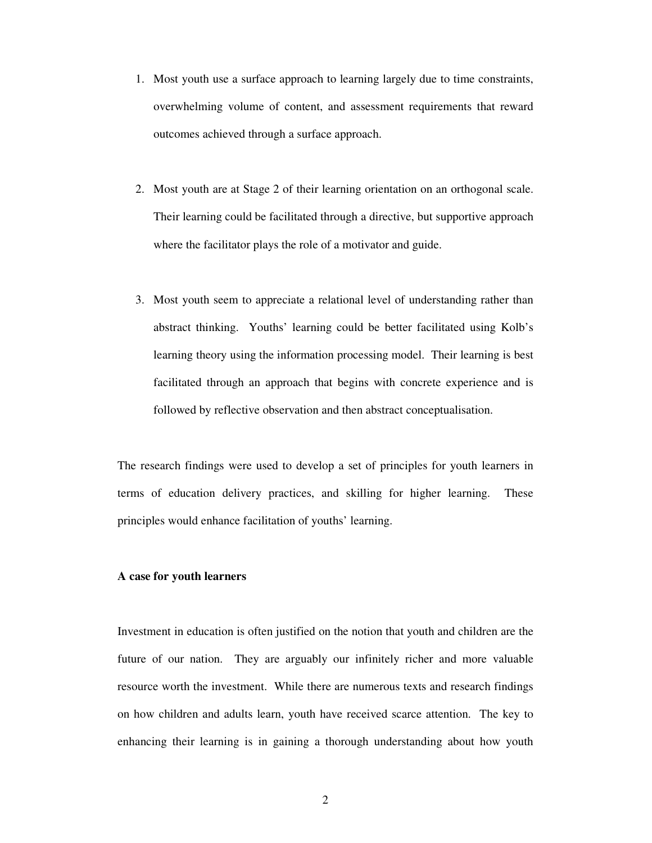- 1. Most youth use a surface approach to learning largely due to time constraints, overwhelming volume of content, and assessment requirements that reward outcomes achieved through a surface approach.
- 2. Most youth are at Stage 2 of their learning orientation on an orthogonal scale. Their learning could be facilitated through a directive, but supportive approach where the facilitator plays the role of a motivator and guide.
- 3. Most youth seem to appreciate a relational level of understanding rather than abstract thinking. Youths' learning could be better facilitated using Kolb's learning theory using the information processing model. Their learning is best facilitated through an approach that begins with concrete experience and is followed by reflective observation and then abstract conceptualisation.

The research findings were used to develop a set of principles for youth learners in terms of education delivery practices, and skilling for higher learning. These principles would enhance facilitation of youths' learning.

## **A case for youth learners**

Investment in education is often justified on the notion that youth and children are the future of our nation. They are arguably our infinitely richer and more valuable resource worth the investment. While there are numerous texts and research findings on how children and adults learn, youth have received scarce attention. The key to enhancing their learning is in gaining a thorough understanding about how youth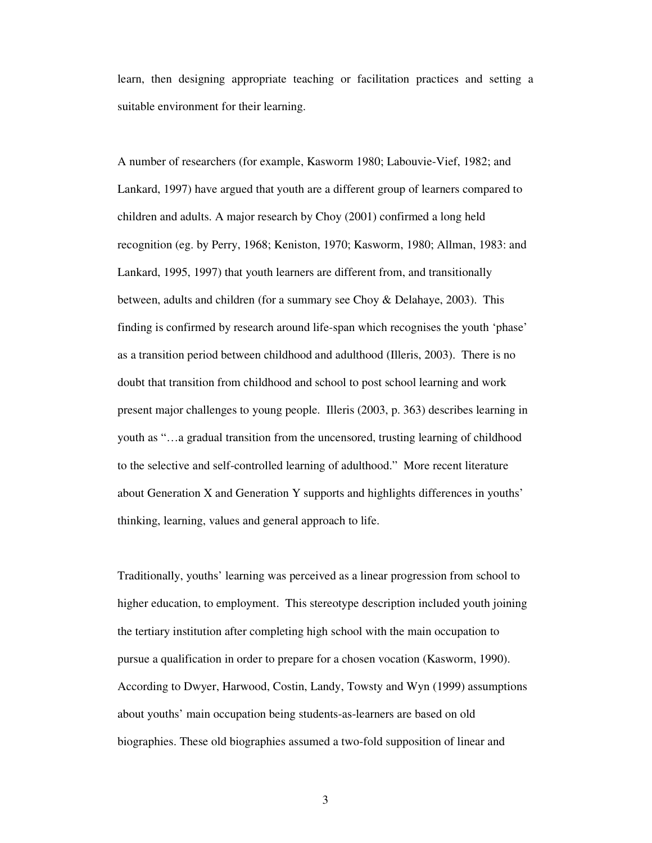learn, then designing appropriate teaching or facilitation practices and setting a suitable environment for their learning.

A number of researchers (for example, Kasworm 1980; Labouvie-Vief, 1982; and Lankard, 1997) have argued that youth are a different group of learners compared to children and adults. A major research by Choy (2001) confirmed a long held recognition (eg. by Perry, 1968; Keniston, 1970; Kasworm, 1980; Allman, 1983: and Lankard, 1995, 1997) that youth learners are different from, and transitionally between, adults and children (for a summary see Choy & Delahaye, 2003). This finding is confirmed by research around life-span which recognises the youth 'phase' as a transition period between childhood and adulthood (Illeris, 2003). There is no doubt that transition from childhood and school to post school learning and work present major challenges to young people. Illeris (2003, p. 363) describes learning in youth as "…a gradual transition from the uncensored, trusting learning of childhood to the selective and self-controlled learning of adulthood." More recent literature about Generation X and Generation Y supports and highlights differences in youths' thinking, learning, values and general approach to life.

Traditionally, youths' learning was perceived as a linear progression from school to higher education, to employment. This stereotype description included youth joining the tertiary institution after completing high school with the main occupation to pursue a qualification in order to prepare for a chosen vocation (Kasworm, 1990). According to Dwyer, Harwood, Costin, Landy, Towsty and Wyn (1999) assumptions about youths' main occupation being students-as-learners are based on old biographies. These old biographies assumed a two-fold supposition of linear and

3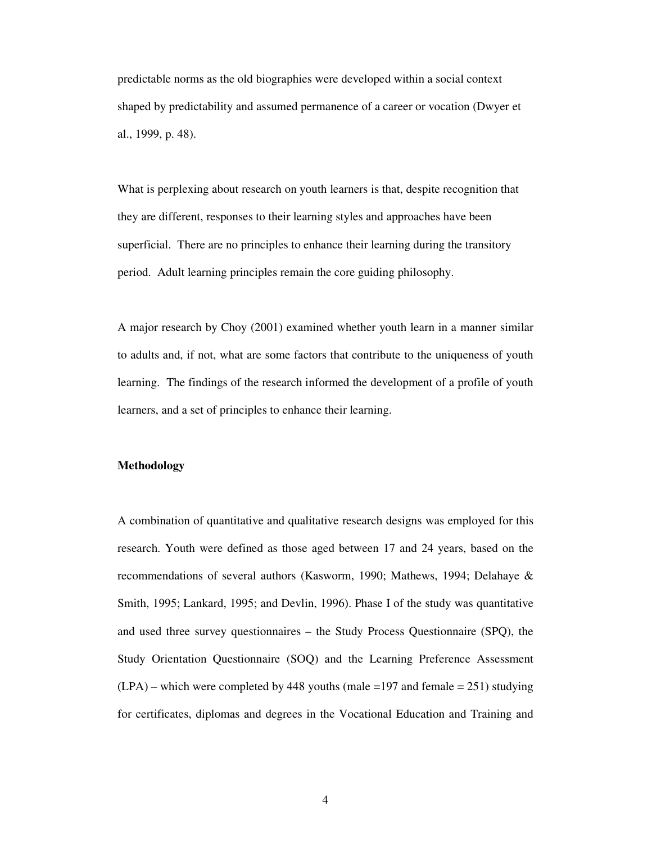predictable norms as the old biographies were developed within a social context shaped by predictability and assumed permanence of a career or vocation (Dwyer et al., 1999, p. 48).

What is perplexing about research on youth learners is that, despite recognition that they are different, responses to their learning styles and approaches have been superficial. There are no principles to enhance their learning during the transitory period. Adult learning principles remain the core guiding philosophy.

A major research by Choy (2001) examined whether youth learn in a manner similar to adults and, if not, what are some factors that contribute to the uniqueness of youth learning. The findings of the research informed the development of a profile of youth learners, and a set of principles to enhance their learning.

#### **Methodology**

A combination of quantitative and qualitative research designs was employed for this research. Youth were defined as those aged between 17 and 24 years, based on the recommendations of several authors (Kasworm, 1990; Mathews, 1994; Delahaye & Smith, 1995; Lankard, 1995; and Devlin, 1996). Phase I of the study was quantitative and used three survey questionnaires – the Study Process Questionnaire (SPQ), the Study Orientation Questionnaire (SOQ) and the Learning Preference Assessment  $(LPA)$  – which were completed by 448 youths (male =197 and female = 251) studying for certificates, diplomas and degrees in the Vocational Education and Training and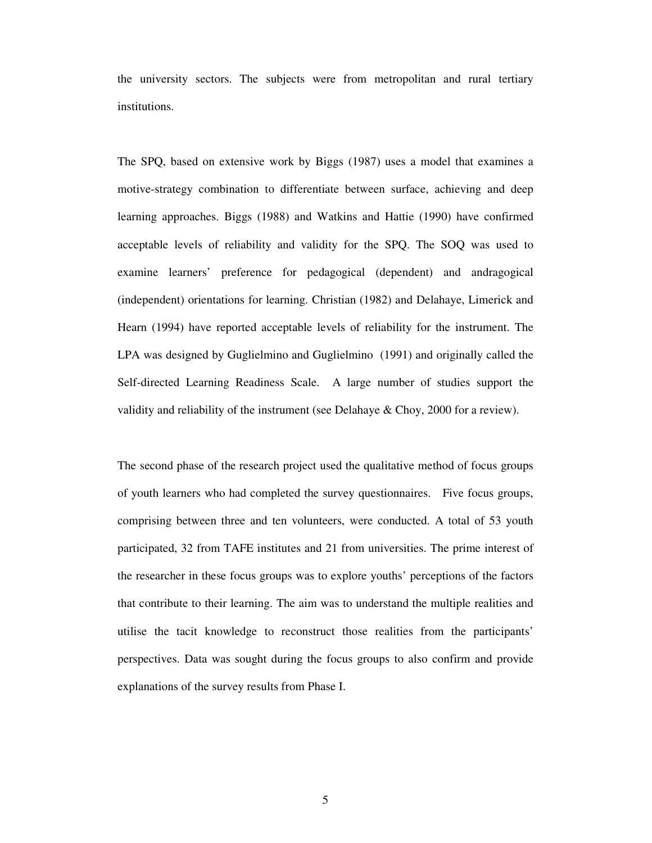the university sectors. The subjects were from metropolitan and rural tertiary institutions.

The SPQ, based on extensive work by Biggs (1987) uses a model that examines a motive-strategy combination to differentiate between surface, achieving and deep learning approaches. Biggs (1988) and Watkins and Hattie (1990) have confirmed acceptable levels of reliability and validity for the SPQ. The SOQ was used to examine learners' preference for pedagogical (dependent) and andragogical (independent) orientations for learning. Christian (1982) and Delahaye, Limerick and Hearn (1994) have reported acceptable levels of reliability for the instrument. The LPA was designed by Guglielmino and Guglielmino (1991) and originally called the Self-directed Learning Readiness Scale. A large number of studies support the validity and reliability of the instrument (see Delahaye & Choy, 2000 for a review).

The second phase of the research project used the qualitative method of focus groups of youth learners who had completed the survey questionnaires. Five focus groups, comprising between three and ten volunteers, were conducted. A total of 53 youth participated, 32 from TAFE institutes and 21 from universities. The prime interest of the researcher in these focus groups was to explore youths' perceptions of the factors that contribute to their learning. The aim was to understand the multiple realities and utilise the tacit knowledge to reconstruct those realities from the participants' perspectives. Data was sought during the focus groups to also confirm and provide explanations of the survey results from Phase I.

5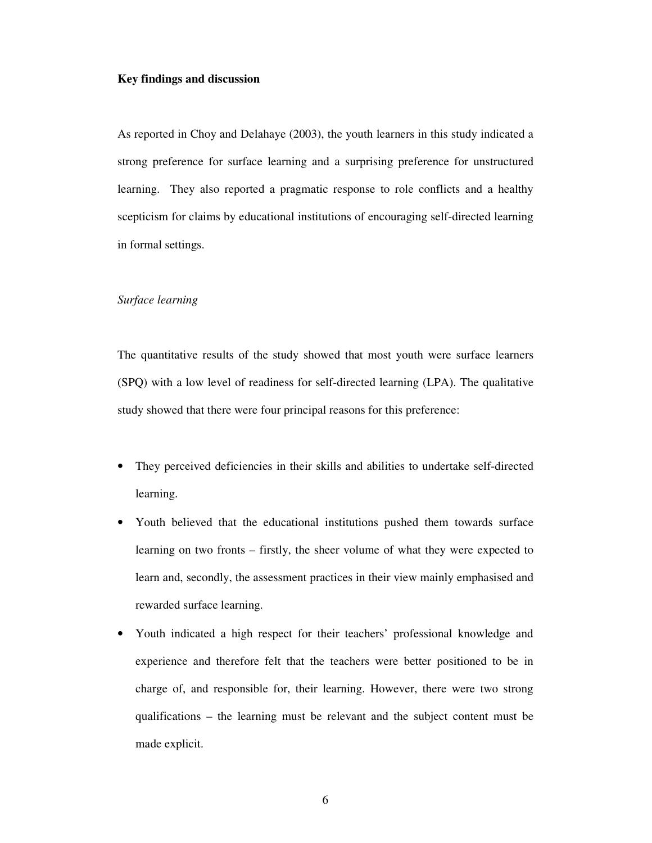## **Key findings and discussion**

As reported in Choy and Delahaye (2003), the youth learners in this study indicated a strong preference for surface learning and a surprising preference for unstructured learning. They also reported a pragmatic response to role conflicts and a healthy scepticism for claims by educational institutions of encouraging self-directed learning in formal settings.

### *Surface learning*

The quantitative results of the study showed that most youth were surface learners (SPQ) with a low level of readiness for self-directed learning (LPA). The qualitative study showed that there were four principal reasons for this preference:

- They perceived deficiencies in their skills and abilities to undertake self-directed learning.
- Youth believed that the educational institutions pushed them towards surface learning on two fronts – firstly, the sheer volume of what they were expected to learn and, secondly, the assessment practices in their view mainly emphasised and rewarded surface learning.
- Youth indicated a high respect for their teachers' professional knowledge and experience and therefore felt that the teachers were better positioned to be in charge of, and responsible for, their learning. However, there were two strong qualifications – the learning must be relevant and the subject content must be made explicit.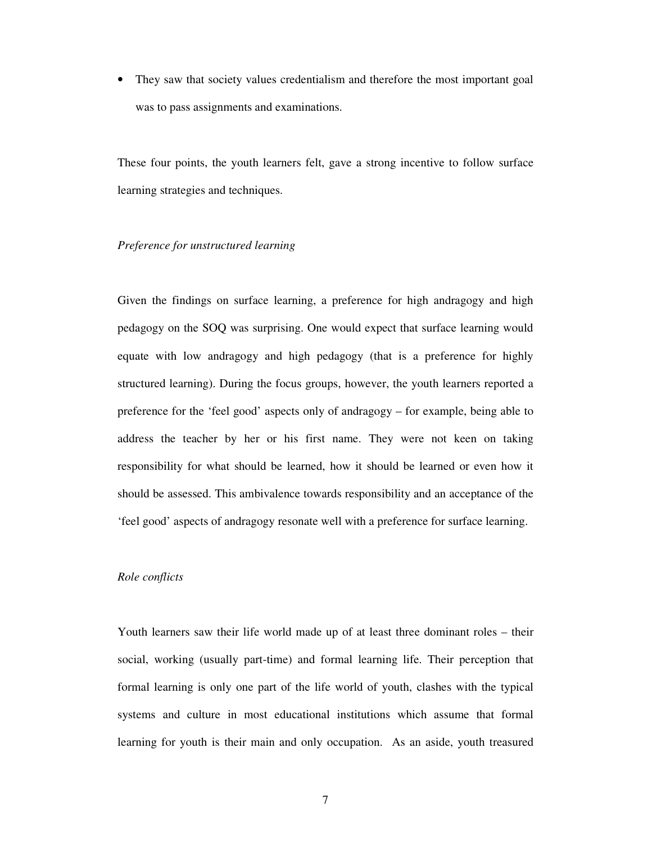• They saw that society values credentialism and therefore the most important goal was to pass assignments and examinations.

These four points, the youth learners felt, gave a strong incentive to follow surface learning strategies and techniques.

## *Preference for unstructured learning*

Given the findings on surface learning, a preference for high andragogy and high pedagogy on the SOQ was surprising. One would expect that surface learning would equate with low andragogy and high pedagogy (that is a preference for highly structured learning). During the focus groups, however, the youth learners reported a preference for the 'feel good' aspects only of andragogy – for example, being able to address the teacher by her or his first name. They were not keen on taking responsibility for what should be learned, how it should be learned or even how it should be assessed. This ambivalence towards responsibility and an acceptance of the 'feel good' aspects of andragogy resonate well with a preference for surface learning.

## *Role conflicts*

Youth learners saw their life world made up of at least three dominant roles – their social, working (usually part-time) and formal learning life. Their perception that formal learning is only one part of the life world of youth, clashes with the typical systems and culture in most educational institutions which assume that formal learning for youth is their main and only occupation. As an aside, youth treasured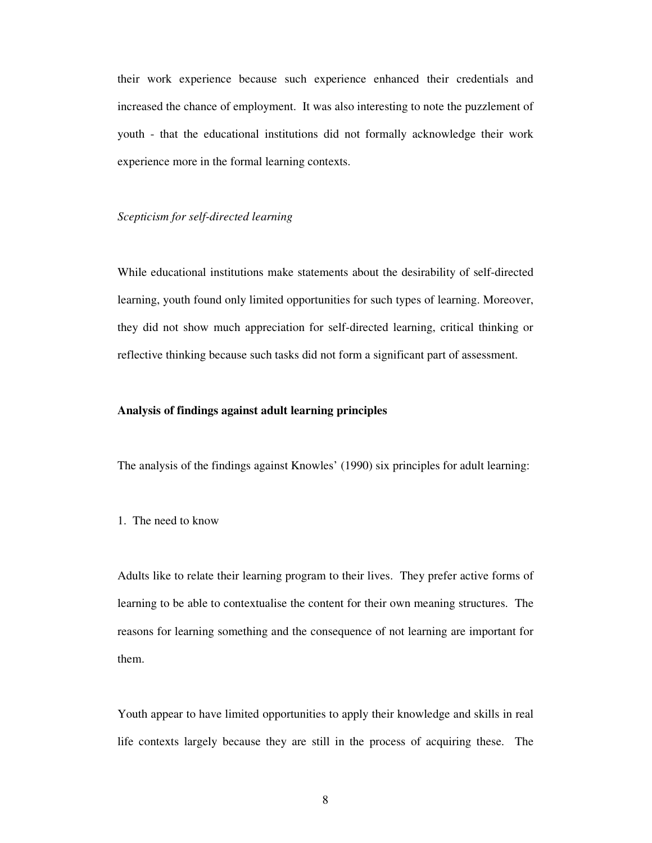their work experience because such experience enhanced their credentials and increased the chance of employment. It was also interesting to note the puzzlement of youth - that the educational institutions did not formally acknowledge their work experience more in the formal learning contexts.

### *Scepticism for self-directed learning*

While educational institutions make statements about the desirability of self-directed learning, youth found only limited opportunities for such types of learning. Moreover, they did not show much appreciation for self-directed learning, critical thinking or reflective thinking because such tasks did not form a significant part of assessment.

### **Analysis of findings against adult learning principles**

The analysis of the findings against Knowles' (1990) six principles for adult learning:

# 1. The need to know

Adults like to relate their learning program to their lives. They prefer active forms of learning to be able to contextualise the content for their own meaning structures. The reasons for learning something and the consequence of not learning are important for them.

Youth appear to have limited opportunities to apply their knowledge and skills in real life contexts largely because they are still in the process of acquiring these. The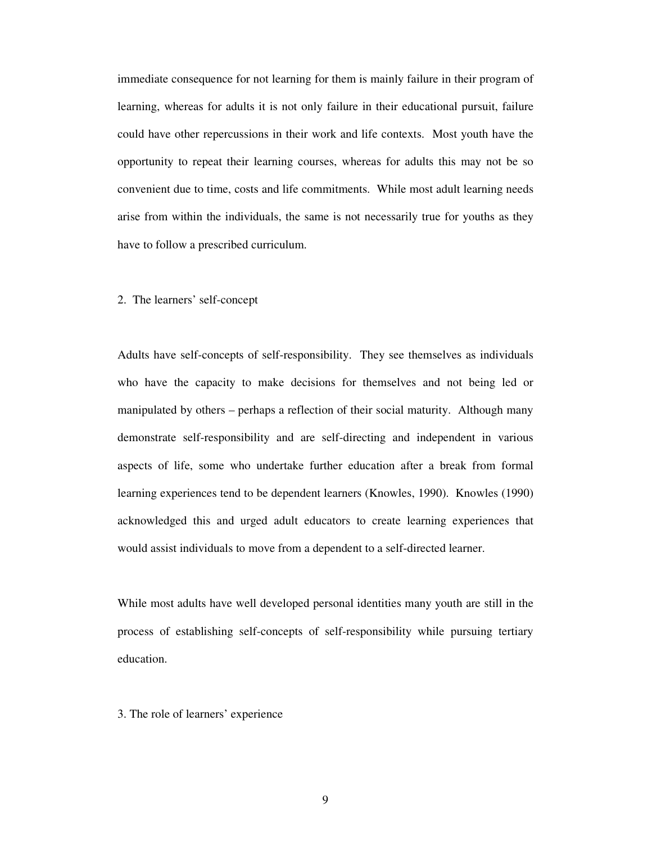immediate consequence for not learning for them is mainly failure in their program of learning, whereas for adults it is not only failure in their educational pursuit, failure could have other repercussions in their work and life contexts. Most youth have the opportunity to repeat their learning courses, whereas for adults this may not be so convenient due to time, costs and life commitments. While most adult learning needs arise from within the individuals, the same is not necessarily true for youths as they have to follow a prescribed curriculum.

### 2. The learners' self-concept

Adults have self-concepts of self-responsibility. They see themselves as individuals who have the capacity to make decisions for themselves and not being led or manipulated by others – perhaps a reflection of their social maturity. Although many demonstrate self-responsibility and are self-directing and independent in various aspects of life, some who undertake further education after a break from formal learning experiences tend to be dependent learners (Knowles, 1990). Knowles (1990) acknowledged this and urged adult educators to create learning experiences that would assist individuals to move from a dependent to a self-directed learner.

While most adults have well developed personal identities many youth are still in the process of establishing self-concepts of self-responsibility while pursuing tertiary education.

# 3. The role of learners' experience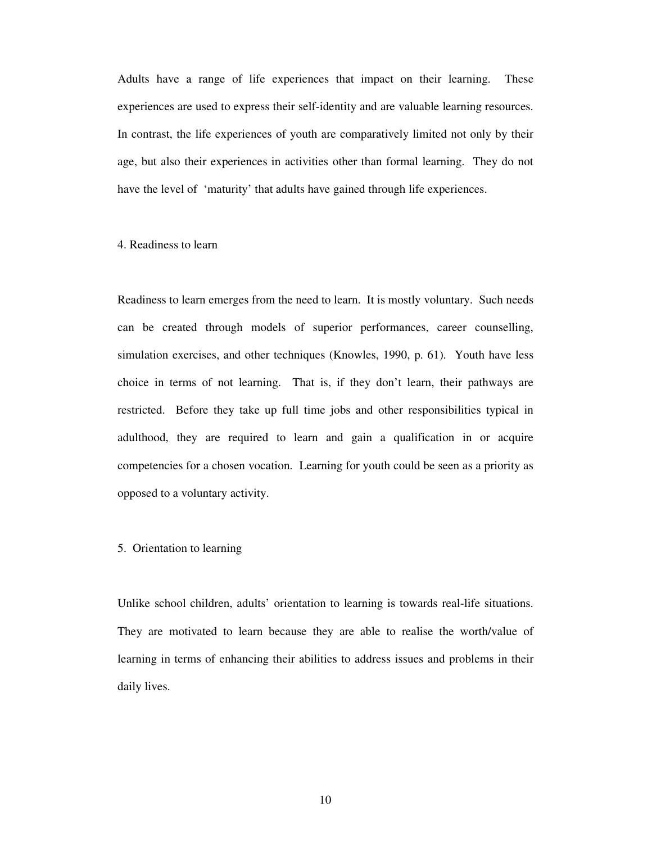Adults have a range of life experiences that impact on their learning. These experiences are used to express their self-identity and are valuable learning resources. In contrast, the life experiences of youth are comparatively limited not only by their age, but also their experiences in activities other than formal learning. They do not have the level of 'maturity' that adults have gained through life experiences.

## 4. Readiness to learn

Readiness to learn emerges from the need to learn. It is mostly voluntary. Such needs can be created through models of superior performances, career counselling, simulation exercises, and other techniques (Knowles, 1990, p. 61). Youth have less choice in terms of not learning. That is, if they don't learn, their pathways are restricted. Before they take up full time jobs and other responsibilities typical in adulthood, they are required to learn and gain a qualification in or acquire competencies for a chosen vocation. Learning for youth could be seen as a priority as opposed to a voluntary activity.

### 5. Orientation to learning

Unlike school children, adults' orientation to learning is towards real-life situations. They are motivated to learn because they are able to realise the worth/value of learning in terms of enhancing their abilities to address issues and problems in their daily lives.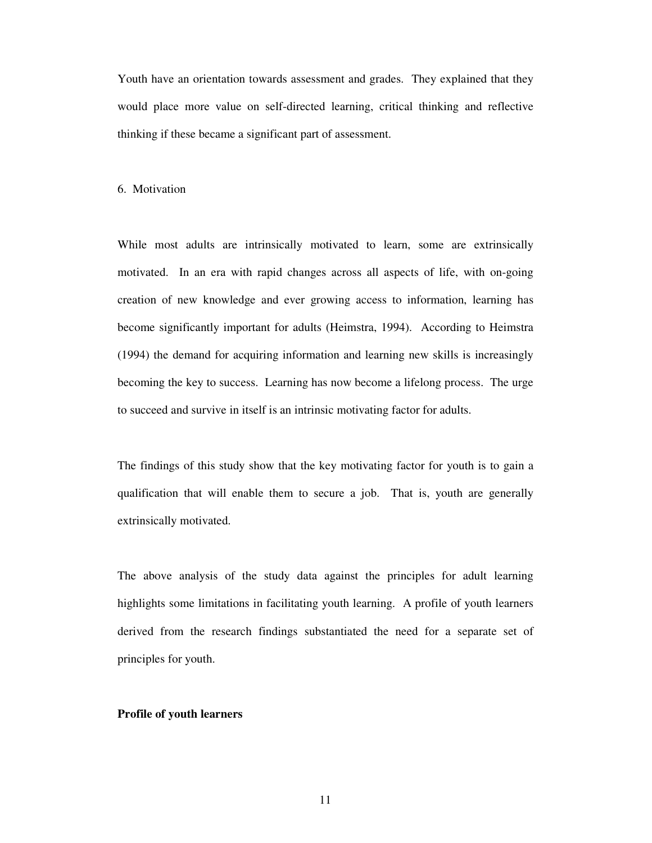Youth have an orientation towards assessment and grades. They explained that they would place more value on self-directed learning, critical thinking and reflective thinking if these became a significant part of assessment.

#### 6. Motivation

While most adults are intrinsically motivated to learn, some are extrinsically motivated. In an era with rapid changes across all aspects of life, with on-going creation of new knowledge and ever growing access to information, learning has become significantly important for adults (Heimstra, 1994). According to Heimstra (1994) the demand for acquiring information and learning new skills is increasingly becoming the key to success. Learning has now become a lifelong process. The urge to succeed and survive in itself is an intrinsic motivating factor for adults.

The findings of this study show that the key motivating factor for youth is to gain a qualification that will enable them to secure a job. That is, youth are generally extrinsically motivated.

The above analysis of the study data against the principles for adult learning highlights some limitations in facilitating youth learning. A profile of youth learners derived from the research findings substantiated the need for a separate set of principles for youth.

#### **Profile of youth learners**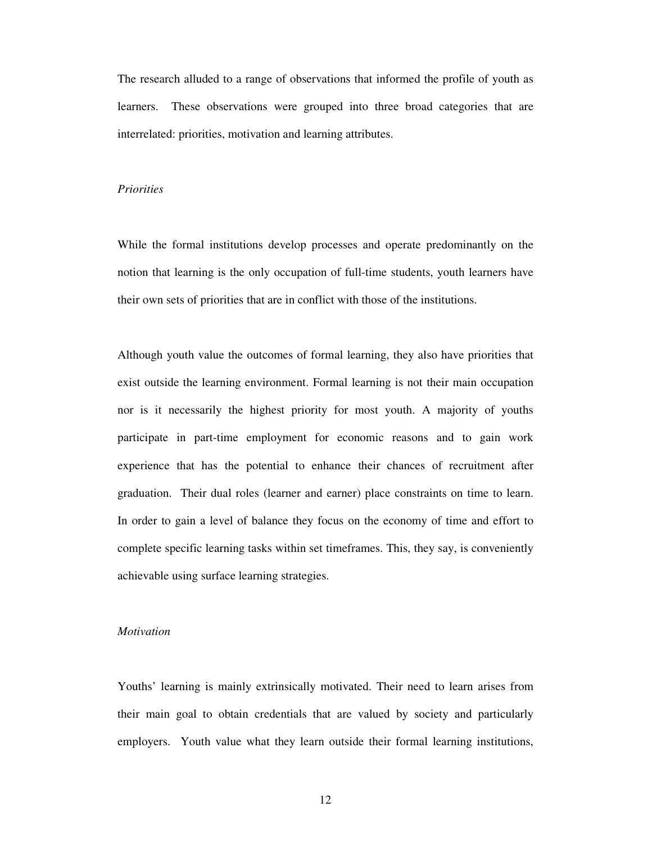The research alluded to a range of observations that informed the profile of youth as learners. These observations were grouped into three broad categories that are interrelated: priorities, motivation and learning attributes.

#### *Priorities*

While the formal institutions develop processes and operate predominantly on the notion that learning is the only occupation of full-time students, youth learners have their own sets of priorities that are in conflict with those of the institutions.

Although youth value the outcomes of formal learning, they also have priorities that exist outside the learning environment. Formal learning is not their main occupation nor is it necessarily the highest priority for most youth. A majority of youths participate in part-time employment for economic reasons and to gain work experience that has the potential to enhance their chances of recruitment after graduation. Their dual roles (learner and earner) place constraints on time to learn. In order to gain a level of balance they focus on the economy of time and effort to complete specific learning tasks within set timeframes. This, they say, is conveniently achievable using surface learning strategies.

#### *Motivation*

Youths' learning is mainly extrinsically motivated. Their need to learn arises from their main goal to obtain credentials that are valued by society and particularly employers. Youth value what they learn outside their formal learning institutions,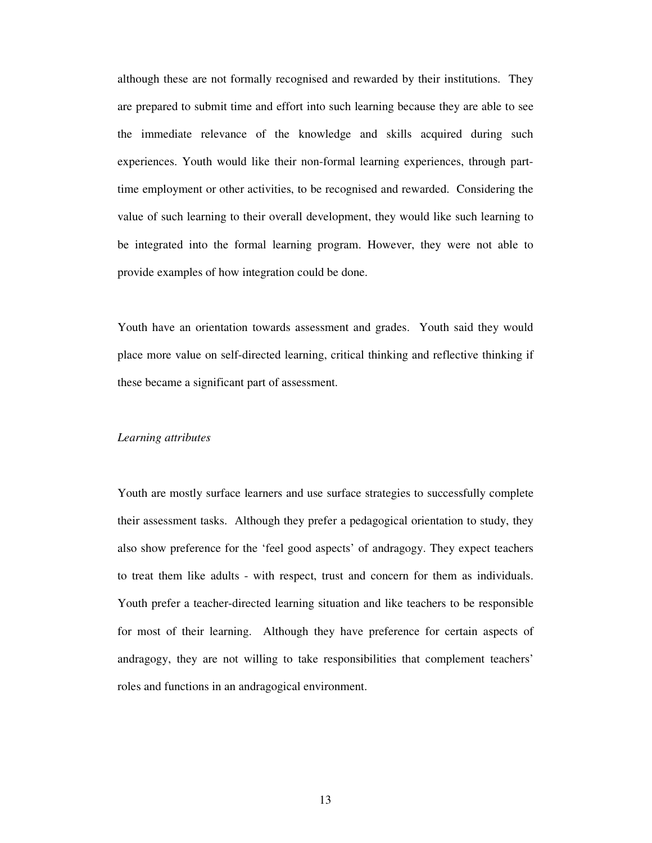although these are not formally recognised and rewarded by their institutions. They are prepared to submit time and effort into such learning because they are able to see the immediate relevance of the knowledge and skills acquired during such experiences. Youth would like their non-formal learning experiences, through parttime employment or other activities, to be recognised and rewarded. Considering the value of such learning to their overall development, they would like such learning to be integrated into the formal learning program. However, they were not able to provide examples of how integration could be done.

Youth have an orientation towards assessment and grades. Youth said they would place more value on self-directed learning, critical thinking and reflective thinking if these became a significant part of assessment.

#### *Learning attributes*

Youth are mostly surface learners and use surface strategies to successfully complete their assessment tasks. Although they prefer a pedagogical orientation to study, they also show preference for the 'feel good aspects' of andragogy. They expect teachers to treat them like adults - with respect, trust and concern for them as individuals. Youth prefer a teacher-directed learning situation and like teachers to be responsible for most of their learning. Although they have preference for certain aspects of andragogy, they are not willing to take responsibilities that complement teachers' roles and functions in an andragogical environment.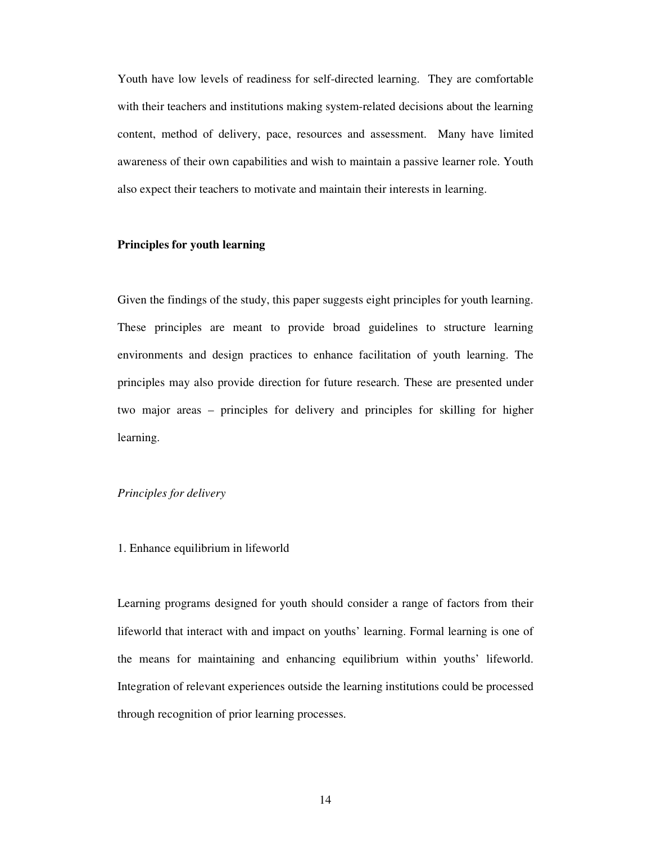Youth have low levels of readiness for self-directed learning. They are comfortable with their teachers and institutions making system-related decisions about the learning content, method of delivery, pace, resources and assessment. Many have limited awareness of their own capabilities and wish to maintain a passive learner role. Youth also expect their teachers to motivate and maintain their interests in learning.

# **Principles for youth learning**

Given the findings of the study, this paper suggests eight principles for youth learning. These principles are meant to provide broad guidelines to structure learning environments and design practices to enhance facilitation of youth learning. The principles may also provide direction for future research. These are presented under two major areas – principles for delivery and principles for skilling for higher learning.

## *Principles for delivery*

## 1. Enhance equilibrium in lifeworld

Learning programs designed for youth should consider a range of factors from their lifeworld that interact with and impact on youths' learning. Formal learning is one of the means for maintaining and enhancing equilibrium within youths' lifeworld. Integration of relevant experiences outside the learning institutions could be processed through recognition of prior learning processes.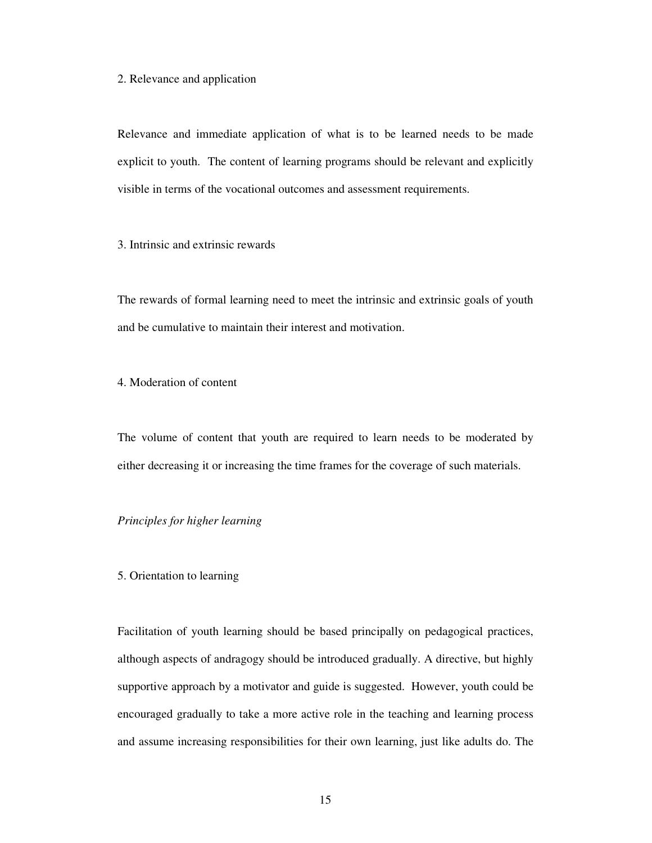#### 2. Relevance and application

Relevance and immediate application of what is to be learned needs to be made explicit to youth. The content of learning programs should be relevant and explicitly visible in terms of the vocational outcomes and assessment requirements.

3. Intrinsic and extrinsic rewards

The rewards of formal learning need to meet the intrinsic and extrinsic goals of youth and be cumulative to maintain their interest and motivation.

4. Moderation of content

The volume of content that youth are required to learn needs to be moderated by either decreasing it or increasing the time frames for the coverage of such materials.

# *Principles for higher learning*

### 5. Orientation to learning

Facilitation of youth learning should be based principally on pedagogical practices, although aspects of andragogy should be introduced gradually. A directive, but highly supportive approach by a motivator and guide is suggested. However, youth could be encouraged gradually to take a more active role in the teaching and learning process and assume increasing responsibilities for their own learning, just like adults do. The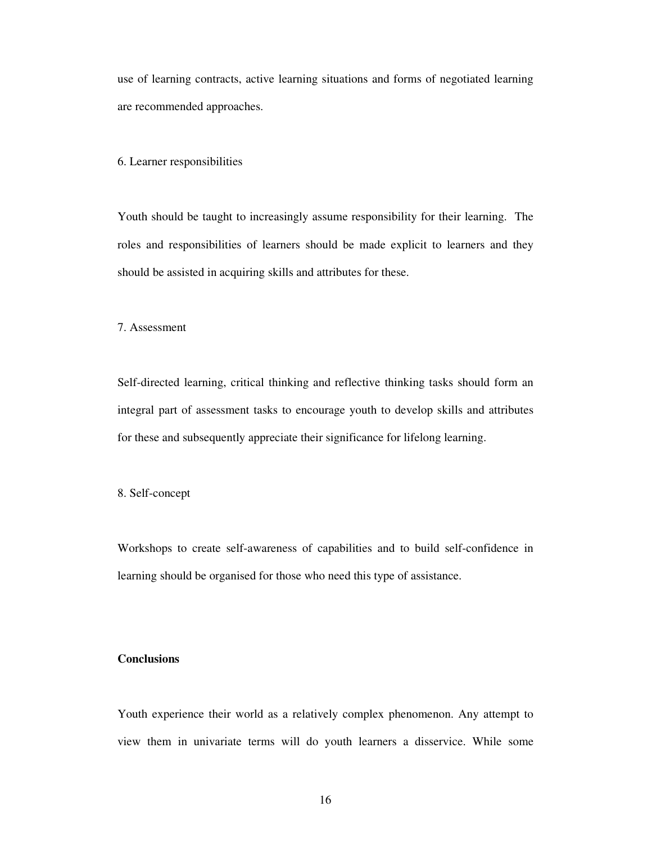use of learning contracts, active learning situations and forms of negotiated learning are recommended approaches.

#### 6. Learner responsibilities

Youth should be taught to increasingly assume responsibility for their learning. The roles and responsibilities of learners should be made explicit to learners and they should be assisted in acquiring skills and attributes for these.

# 7. Assessment

Self-directed learning, critical thinking and reflective thinking tasks should form an integral part of assessment tasks to encourage youth to develop skills and attributes for these and subsequently appreciate their significance for lifelong learning.

8. Self-concept

Workshops to create self-awareness of capabilities and to build self-confidence in learning should be organised for those who need this type of assistance.

# **Conclusions**

Youth experience their world as a relatively complex phenomenon. Any attempt to view them in univariate terms will do youth learners a disservice. While some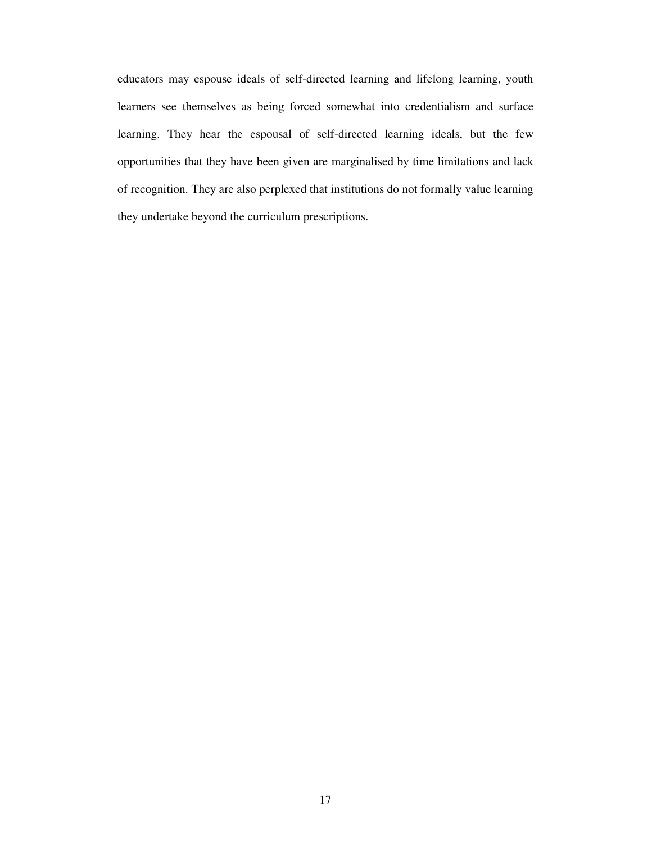educators may espouse ideals of self-directed learning and lifelong learning, youth learners see themselves as being forced somewhat into credentialism and surface learning. They hear the espousal of self-directed learning ideals, but the few opportunities that they have been given are marginalised by time limitations and lack of recognition. They are also perplexed that institutions do not formally value learning they undertake beyond the curriculum prescriptions.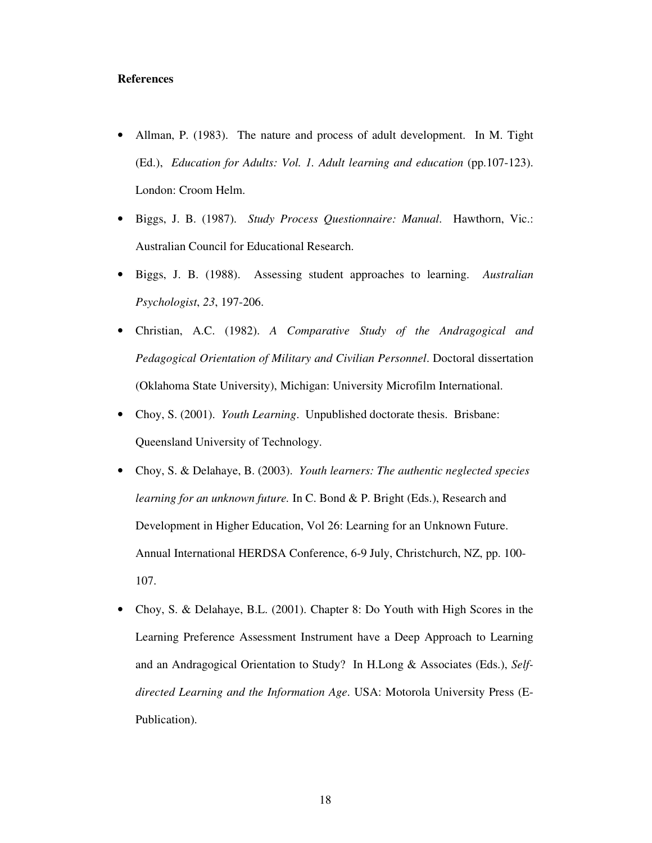## **References**

- Allman, P. (1983). The nature and process of adult development. In M. Tight (Ed.), *Education for Adults: Vol. 1. Adult learning and education* (pp.107-123). London: Croom Helm.
- Biggs, J. B. (1987). *Study Process Questionnaire: Manual*. Hawthorn, Vic.: Australian Council for Educational Research.
- Biggs, J. B. (1988). Assessing student approaches to learning. *Australian Psychologist*, *23*, 197-206.
- Christian, A.C. (1982). *A Comparative Study of the Andragogical and Pedagogical Orientation of Military and Civilian Personnel*. Doctoral dissertation (Oklahoma State University), Michigan: University Microfilm International.
- Choy, S. (2001). *Youth Learning*. Unpublished doctorate thesis. Brisbane: Queensland University of Technology.
- Choy, S. & Delahaye, B. (2003). *Youth learners: The authentic neglected species learning for an unknown future.* In C. Bond & P. Bright (Eds.), Research and Development in Higher Education, Vol 26: Learning for an Unknown Future. Annual International HERDSA Conference, 6-9 July, Christchurch, NZ, pp. 100- 107.
- Choy, S. & Delahaye, B.L. (2001). Chapter 8: Do Youth with High Scores in the Learning Preference Assessment Instrument have a Deep Approach to Learning and an Andragogical Orientation to Study? In H.Long & Associates (Eds.), *Selfdirected Learning and the Information Age*. USA: Motorola University Press (E-Publication).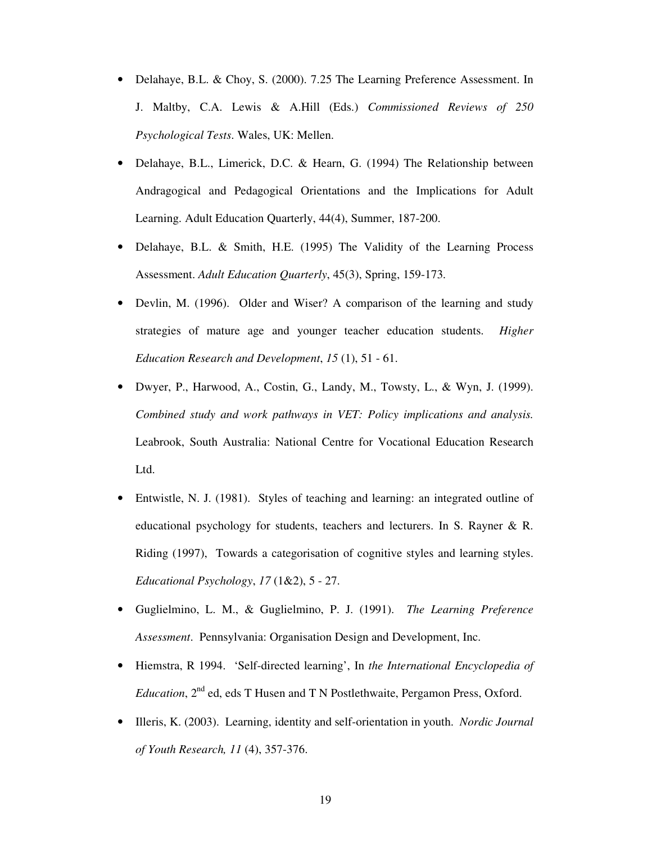- Delahaye, B.L. & Choy, S. (2000). 7.25 The Learning Preference Assessment. In J. Maltby, C.A. Lewis & A.Hill (Eds.) *Commissioned Reviews of 250 Psychological Tests*. Wales, UK: Mellen.
- Delahaye, B.L., Limerick, D.C. & Hearn, G. (1994) The Relationship between Andragogical and Pedagogical Orientations and the Implications for Adult Learning. Adult Education Quarterly, 44(4), Summer, 187-200.
- Delahaye, B.L. & Smith, H.E. (1995) The Validity of the Learning Process Assessment. *Adult Education Quarterly*, 45(3), Spring, 159-173.
- Devlin, M. (1996). Older and Wiser? A comparison of the learning and study strategies of mature age and younger teacher education students. *Higher Education Research and Development*, *15* (1), 51 - 61.
- Dwyer, P., Harwood, A., Costin, G., Landy, M., Towsty, L., & Wyn, J. (1999). *Combined study and work pathways in VET: Policy implications and analysis.* Leabrook, South Australia: National Centre for Vocational Education Research Ltd.
- Entwistle, N. J. (1981). Styles of teaching and learning: an integrated outline of educational psychology for students, teachers and lecturers. In S. Rayner & R. Riding (1997), Towards a categorisation of cognitive styles and learning styles. *Educational Psychology*, *17* (1&2), 5 - 27.
- Guglielmino, L. M., & Guglielmino, P. J. (1991). *The Learning Preference Assessment*. Pennsylvania: Organisation Design and Development, Inc.
- Hiemstra, R 1994. 'Self-directed learning', In *the International Encyclopedia of* Education, 2<sup>nd</sup> ed, eds T Husen and T N Postlethwaite, Pergamon Press, Oxford.
- Illeris, K. (2003). Learning, identity and self-orientation in youth. *Nordic Journal of Youth Research, 11* (4), 357-376.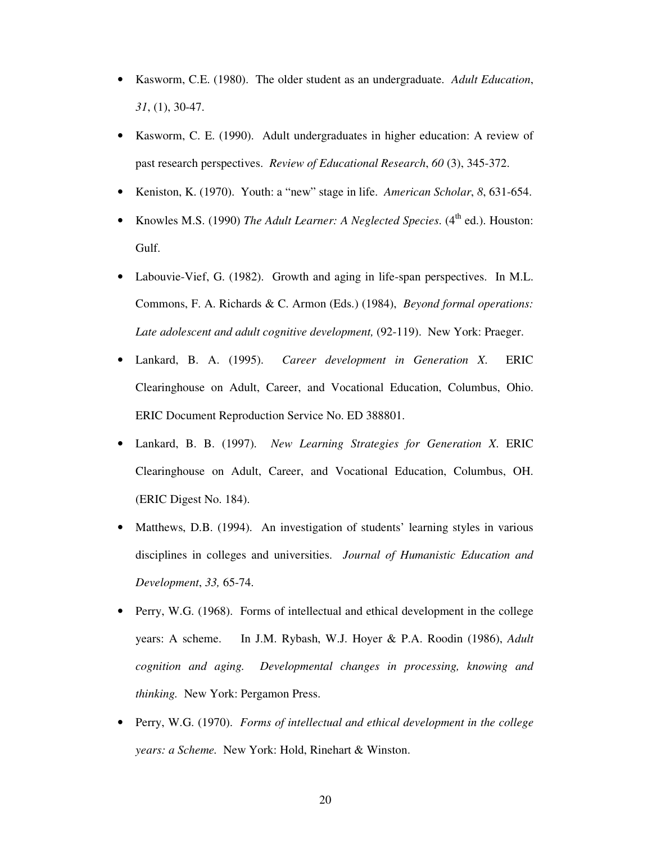- Kasworm, C.E. (1980). The older student as an undergraduate. *Adult Education*, *31*, (1), 30-47.
- Kasworm, C. E. (1990). Adult undergraduates in higher education: A review of past research perspectives. *Review of Educational Research*, *60* (3), 345-372.
- Keniston, K. (1970). Youth: a "new" stage in life. *American Scholar*, *8*, 631-654.
- Knowles M.S. (1990) *The Adult Learner: A Neglected Species*. (4<sup>th</sup> ed.). Houston: Gulf.
- Labouvie-Vief, G. (1982). Growth and aging in life-span perspectives. In M.L. Commons, F. A. Richards & C. Armon (Eds.) (1984), *Beyond formal operations: Late adolescent and adult cognitive development,* (92-119). New York: Praeger.
- Lankard, B. A. (1995). *Career development in Generation X*. ERIC Clearinghouse on Adult, Career, and Vocational Education, Columbus, Ohio. ERIC Document Reproduction Service No. ED 388801.
- Lankard, B. B. (1997). *New Learning Strategies for Generation X*. ERIC Clearinghouse on Adult, Career, and Vocational Education, Columbus, OH. (ERIC Digest No. 184).
- Matthews, D.B. (1994). An investigation of students' learning styles in various disciplines in colleges and universities. *Journal of Humanistic Education and Development*, *33,* 65-74.
- Perry, W.G. (1968). Forms of intellectual and ethical development in the college years: A scheme. In J.M. Rybash, W.J. Hoyer & P.A. Roodin (1986), *Adult cognition and aging. Developmental changes in processing, knowing and thinking.* New York: Pergamon Press.
- Perry, W.G. (1970). *Forms of intellectual and ethical development in the college years: a Scheme.* New York: Hold, Rinehart & Winston.